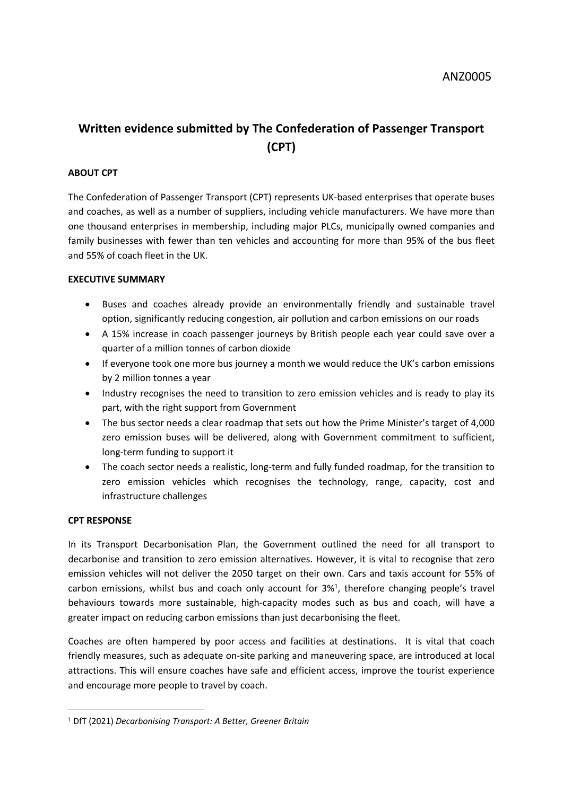# **Written evidence submitted by The Confederation of Passenger Transport (CPT)**

## **ABOUT CPT**

The Confederation of Passenger Transport (CPT) represents UK-based enterprises that operate buses and coaches, as well as a number of suppliers, including vehicle manufacturers. We have more than one thousand enterprises in membership, including major PLCs, municipally owned companies and family businesses with fewer than ten vehicles and accounting for more than 95% of the bus fleet and 55% of coach fleet in the UK.

### **EXECUTIVE SUMMARY**

- Buses and coaches already provide an environmentally friendly and sustainable travel option, significantly reducing congestion, air pollution and carbon emissions on our roads
- A 15% increase in coach passenger journeys by British people each year could save over a quarter of a million tonnes of carbon dioxide
- If everyone took one more bus journey a month we would reduce the UK's carbon emissions by 2 million tonnes a year
- Industry recognises the need to transition to zero emission vehicles and is ready to play its part, with the right support from Government
- The bus sector needs a clear roadmap that sets out how the Prime Minister's target of 4,000 zero emission buses will be delivered, along with Government commitment to sufficient, long-term funding to support it
- The coach sector needs a realistic, long-term and fully funded roadmap, for the transition to zero emission vehicles which recognises the technology, range, capacity, cost and infrastructure challenges

### **CPT RESPONSE**

In its Transport Decarbonisation Plan, the Government outlined the need for all transport to decarbonise and transition to zero emission alternatives. However, it is vital to recognise that zero emission vehicles will not deliver the 2050 target on their own. Cars and taxis account for 55% of carbon emissions, whilst bus and coach only account for 3%<sup>1</sup>, therefore changing people's travel behaviours towards more sustainable, high-capacity modes such as bus and coach, will have a greater impact on reducing carbon emissions than just decarbonising the fleet.

Coaches are often hampered by poor access and facilities at destinations. It is vital that coach friendly measures, such as adequate on-site parking and maneuvering space, are introduced at local attractions. This will ensure coaches have safe and efficient access, improve the tourist experience and encourage more people to travel by coach.

<sup>1</sup> DfT (2021) *Decarbonising Transport: A Better, Greener Britain*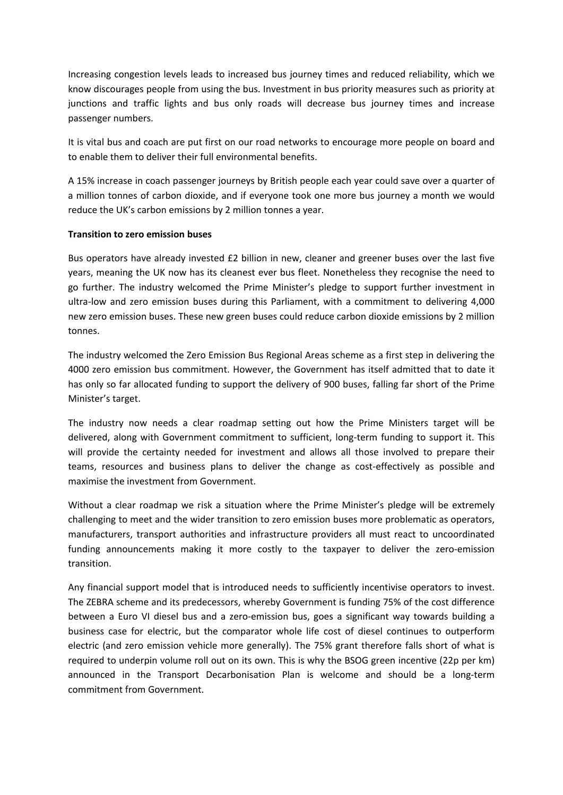Increasing congestion levels leads to increased bus journey times and reduced reliability, which we know discourages people from using the bus. Investment in bus priority measures such as priority at junctions and traffic lights and bus only roads will decrease bus journey times and increase passenger numbers.

It is vital bus and coach are put first on our road networks to encourage more people on board and to enable them to deliver their full environmental benefits.

A 15% increase in coach passenger journeys by British people each year could save over a quarter of a million tonnes of carbon dioxide, and if everyone took one more bus journey a month we would reduce the UK's carbon emissions by 2 million tonnes a year.

### **Transition to zero emission buses**

Bus operators have already invested £2 billion in new, cleaner and greener buses over the last five years, meaning the UK now has its cleanest ever bus fleet. Nonetheless they recognise the need to go further. The industry welcomed the Prime Minister's pledge to support further investment in ultra-low and zero emission buses during this Parliament, with a commitment to delivering 4,000 new zero emission buses. These new green buses could reduce carbon dioxide emissions by 2 million tonnes.

The industry welcomed the Zero Emission Bus Regional Areas scheme as a first step in delivering the 4000 zero emission bus commitment. However, the Government has itself admitted that to date it has only so far allocated funding to support the delivery of 900 buses, falling far short of the Prime Minister's target.

The industry now needs a clear roadmap setting out how the Prime Ministers target will be delivered, along with Government commitment to sufficient, long-term funding to support it. This will provide the certainty needed for investment and allows all those involved to prepare their teams, resources and business plans to deliver the change as cost-effectively as possible and maximise the investment from Government.

Without a clear roadmap we risk a situation where the Prime Minister's pledge will be extremely challenging to meet and the wider transition to zero emission buses more problematic as operators, manufacturers, transport authorities and infrastructure providers all must react to uncoordinated funding announcements making it more costly to the taxpayer to deliver the zero-emission transition.

Any financial support model that is introduced needs to sufficiently incentivise operators to invest. The ZEBRA scheme and its predecessors, whereby Government is funding 75% of the cost difference between a Euro VI diesel bus and a zero-emission bus, goes a significant way towards building a business case for electric, but the comparator whole life cost of diesel continues to outperform electric (and zero emission vehicle more generally). The 75% grant therefore falls short of what is required to underpin volume roll out on its own. This is why the BSOG green incentive (22p per km) announced in the Transport Decarbonisation Plan is welcome and should be a long-term commitment from Government.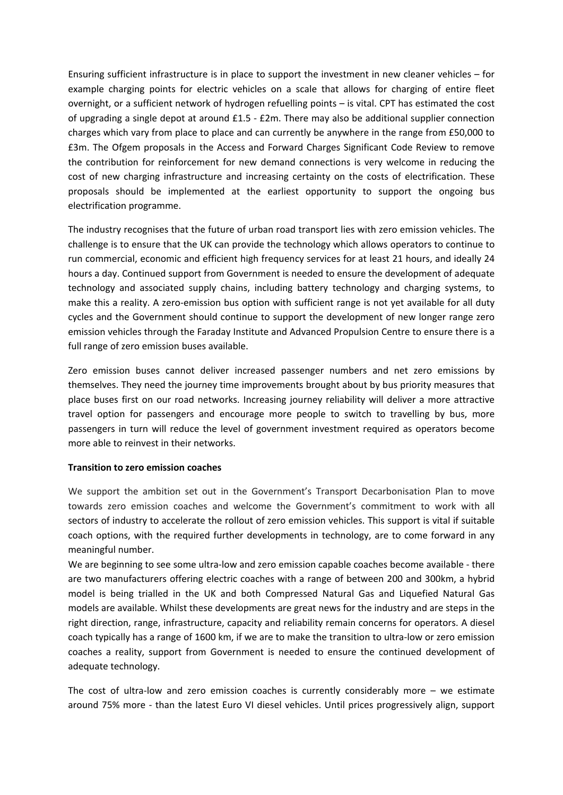Ensuring sufficient infrastructure is in place to support the investment in new cleaner vehicles – for example charging points for electric vehicles on a scale that allows for charging of entire fleet overnight, or a sufficient network of hydrogen refuelling points – is vital. CPT has estimated the cost of upgrading a single depot at around £1.5 - £2m. There may also be additional supplier connection charges which vary from place to place and can currently be anywhere in the range from £50,000 to £3m. The Ofgem proposals in the Access and Forward Charges Significant Code Review to remove the contribution for reinforcement for new demand connections is very welcome in reducing the cost of new charging infrastructure and increasing certainty on the costs of electrification. These proposals should be implemented at the earliest opportunity to support the ongoing bus electrification programme.

The industry recognises that the future of urban road transport lies with zero emission vehicles. The challenge is to ensure that the UK can provide the technology which allows operators to continue to run commercial, economic and efficient high frequency services for at least 21 hours, and ideally 24 hours a day. Continued support from Government is needed to ensure the development of adequate technology and associated supply chains, including battery technology and charging systems, to make this a reality. A zero-emission bus option with sufficient range is not yet available for all duty cycles and the Government should continue to support the development of new longer range zero emission vehicles through the Faraday Institute and Advanced Propulsion Centre to ensure there is a full range of zero emission buses available.

Zero emission buses cannot deliver increased passenger numbers and net zero emissions by themselves. They need the journey time improvements brought about by bus priority measures that place buses first on our road networks. Increasing journey reliability will deliver a more attractive travel option for passengers and encourage more people to switch to travelling by bus, more passengers in turn will reduce the level of government investment required as operators become more able to reinvest in their networks.

### **Transition to zero emission coaches**

We support the ambition set out in the Government's Transport Decarbonisation Plan to move towards zero emission coaches and welcome the Government's commitment to work with all sectors of industry to accelerate the rollout of zero emission vehicles. This support is vital if suitable coach options, with the required further developments in technology, are to come forward in any meaningful number.

We are beginning to see some ultra-low and zero emission capable coaches become available - there are two manufacturers offering electric coaches with a range of between 200 and 300km, a hybrid model is being trialled in the UK and both Compressed Natural Gas and Liquefied Natural Gas models are available. Whilst these developments are great news for the industry and are steps in the right direction, range, infrastructure, capacity and reliability remain concerns for operators. A diesel coach typically has a range of 1600 km, if we are to make the transition to ultra-low or zero emission coaches a reality, support from Government is needed to ensure the continued development of adequate technology.

The cost of ultra-low and zero emission coaches is currently considerably more  $-$  we estimate around 75% more - than the latest Euro VI diesel vehicles. Until prices progressively align, support